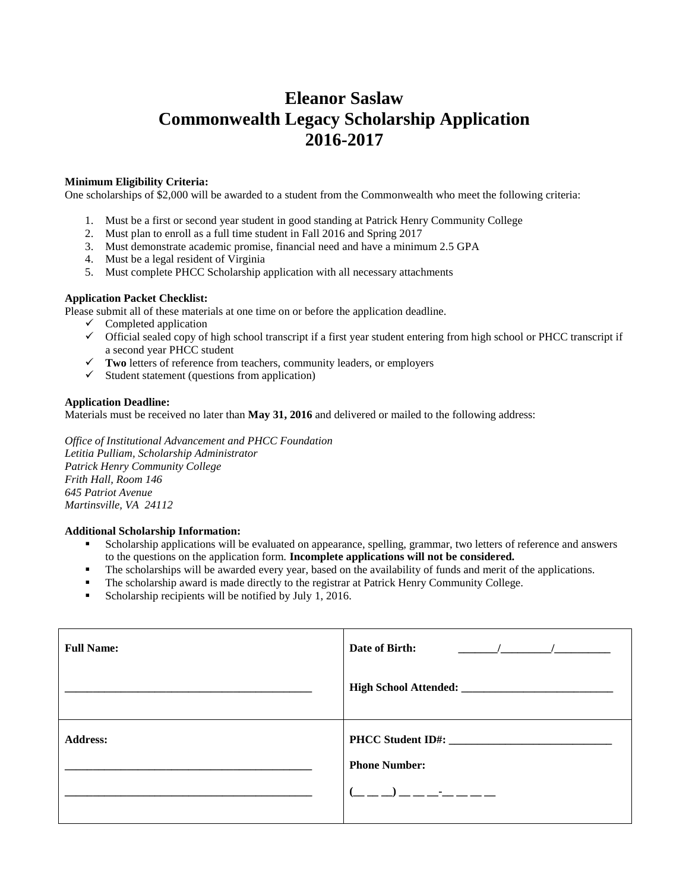# **Eleanor Saslaw Commonwealth Legacy Scholarship Application 2016-2017**

## **Minimum Eligibility Criteria:**

One scholarships of \$2,000 will be awarded to a student from the Commonwealth who meet the following criteria:

- 1. Must be a first or second year student in good standing at Patrick Henry Community College
- 2. Must plan to enroll as a full time student in Fall 2016 and Spring 2017
- 3. Must demonstrate academic promise, financial need and have a minimum 2.5 GPA
- 4. Must be a legal resident of Virginia
- 5. Must complete PHCC Scholarship application with all necessary attachments

### **Application Packet Checklist:**

Please submit all of these materials at one time on or before the application deadline.

- $\checkmark$  Completed application
- Official sealed copy of high school transcript if a first year student entering from high school or PHCC transcript if a second year PHCC student
- **Two** letters of reference from teachers, community leaders, or employers
- $\checkmark$  Student statement (questions from application)

### **Application Deadline:**

Materials must be received no later than **May 31, 2016** and delivered or mailed to the following address:

*Office of Institutional Advancement and PHCC Foundation Letitia Pulliam, Scholarship Administrator Patrick Henry Community College Frith Hall, Room 146 645 Patriot Avenue Martinsville, VA 24112*

#### **Additional Scholarship Information:**

- Scholarship applications will be evaluated on appearance, spelling, grammar, two letters of reference and answers to the questions on the application form. **Incomplete applications will not be considered.**
- The scholarships will be awarded every year, based on the availability of funds and merit of the applications.
- The scholarship award is made directly to the registrar at Patrick Henry Community College.
- Scholarship recipients will be notified by July 1, 2016.

| <b>Full Name:</b> | Date of Birth:<br>$\sqrt{2}$ $\sqrt{2}$                                        |
|-------------------|--------------------------------------------------------------------------------|
|                   |                                                                                |
| <b>Address:</b>   | PHCC Student ID#:<br><b>Phone Number:</b><br>_ _ _) _ _ _ <del>_</del> _ _ _ _ |